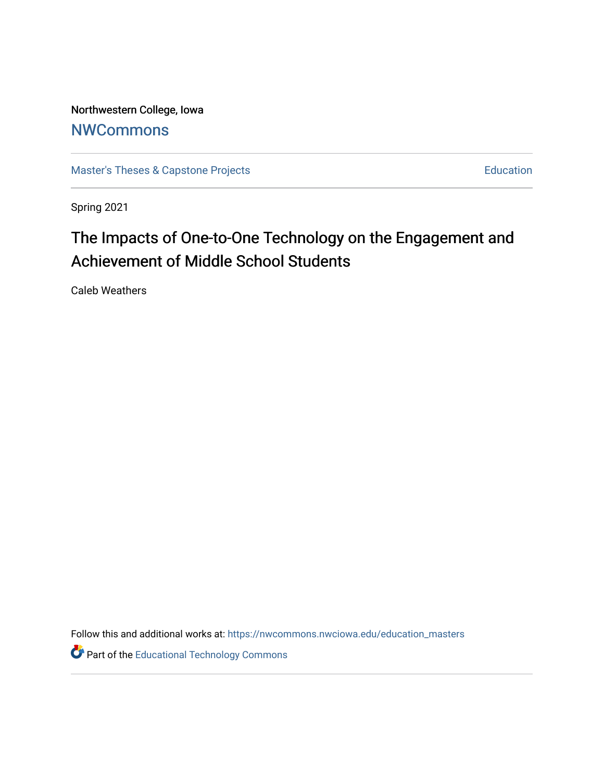Northwestern College, Iowa **[NWCommons](https://nwcommons.nwciowa.edu/)** 

[Master's Theses & Capstone Projects](https://nwcommons.nwciowa.edu/education_masters) **Education** Education

Spring 2021

# The Impacts of One-to-One Technology on the Engagement and Achievement of Middle School Students

Caleb Weathers

Follow this and additional works at: [https://nwcommons.nwciowa.edu/education\\_masters](https://nwcommons.nwciowa.edu/education_masters?utm_source=nwcommons.nwciowa.edu%2Feducation_masters%2F308&utm_medium=PDF&utm_campaign=PDFCoverPages)

**Part of the Educational Technology Commons**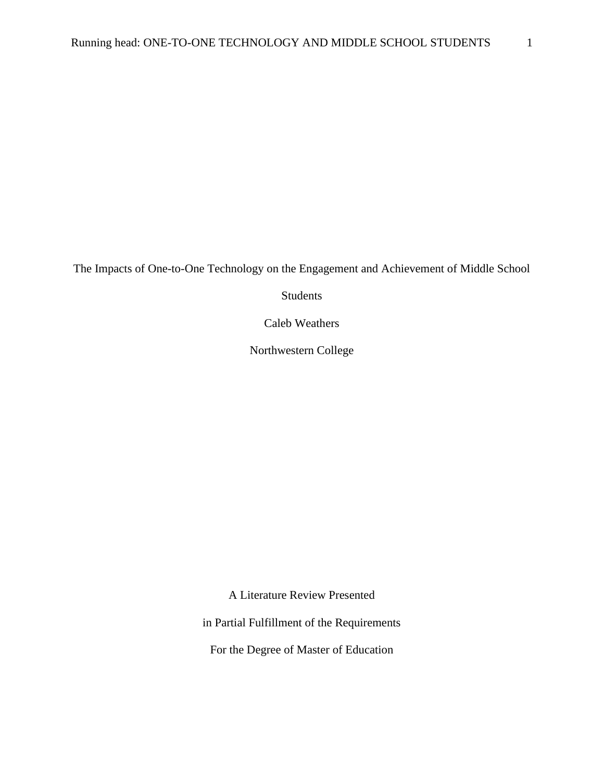The Impacts of One-to-One Technology on the Engagement and Achievement of Middle School

Students

Caleb Weathers

Northwestern College

A Literature Review Presented

in Partial Fulfillment of the Requirements

For the Degree of Master of Education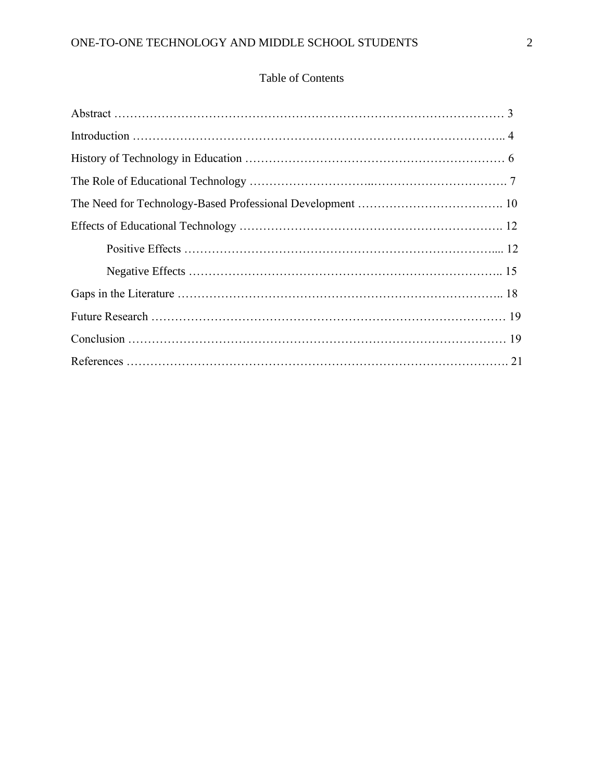### Table of Contents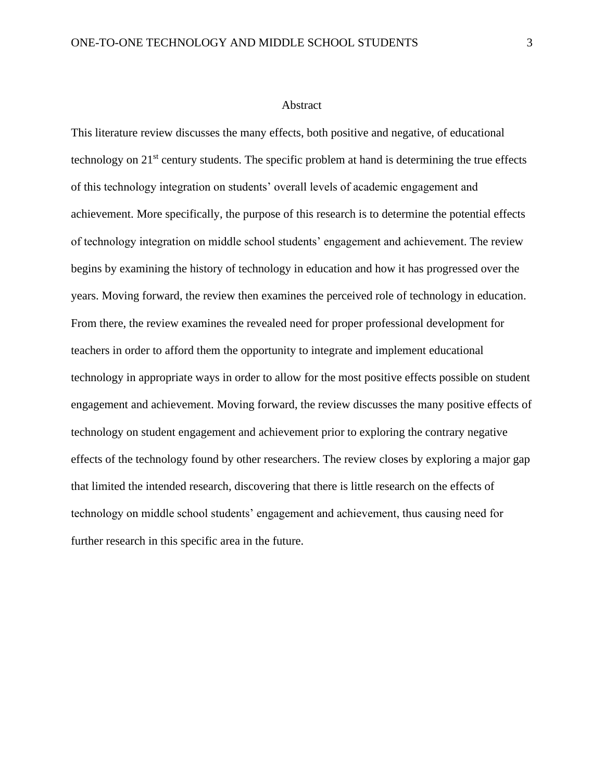#### Abstract

This literature review discusses the many effects, both positive and negative, of educational technology on 21<sup>st</sup> century students. The specific problem at hand is determining the true effects of this technology integration on students' overall levels of academic engagement and achievement. More specifically, the purpose of this research is to determine the potential effects of technology integration on middle school students' engagement and achievement. The review begins by examining the history of technology in education and how it has progressed over the years. Moving forward, the review then examines the perceived role of technology in education. From there, the review examines the revealed need for proper professional development for teachers in order to afford them the opportunity to integrate and implement educational technology in appropriate ways in order to allow for the most positive effects possible on student engagement and achievement. Moving forward, the review discusses the many positive effects of technology on student engagement and achievement prior to exploring the contrary negative effects of the technology found by other researchers. The review closes by exploring a major gap that limited the intended research, discovering that there is little research on the effects of technology on middle school students' engagement and achievement, thus causing need for further research in this specific area in the future.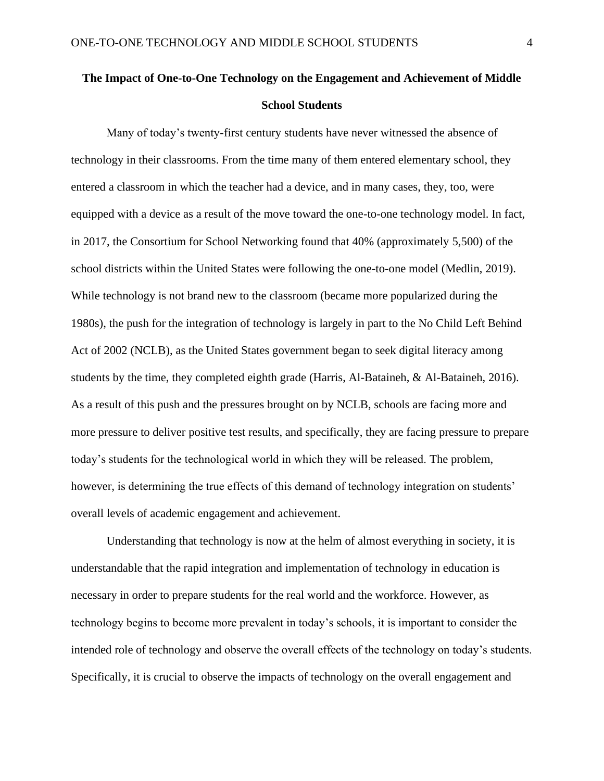## **The Impact of One-to-One Technology on the Engagement and Achievement of Middle School Students**

Many of today's twenty-first century students have never witnessed the absence of technology in their classrooms. From the time many of them entered elementary school, they entered a classroom in which the teacher had a device, and in many cases, they, too, were equipped with a device as a result of the move toward the one-to-one technology model. In fact, in 2017, the Consortium for School Networking found that 40% (approximately 5,500) of the school districts within the United States were following the one-to-one model (Medlin, 2019). While technology is not brand new to the classroom (became more popularized during the 1980s), the push for the integration of technology is largely in part to the No Child Left Behind Act of 2002 (NCLB), as the United States government began to seek digital literacy among students by the time, they completed eighth grade (Harris, Al-Bataineh, & Al-Bataineh, 2016). As a result of this push and the pressures brought on by NCLB, schools are facing more and more pressure to deliver positive test results, and specifically, they are facing pressure to prepare today's students for the technological world in which they will be released. The problem, however, is determining the true effects of this demand of technology integration on students' overall levels of academic engagement and achievement.

Understanding that technology is now at the helm of almost everything in society, it is understandable that the rapid integration and implementation of technology in education is necessary in order to prepare students for the real world and the workforce. However, as technology begins to become more prevalent in today's schools, it is important to consider the intended role of technology and observe the overall effects of the technology on today's students. Specifically, it is crucial to observe the impacts of technology on the overall engagement and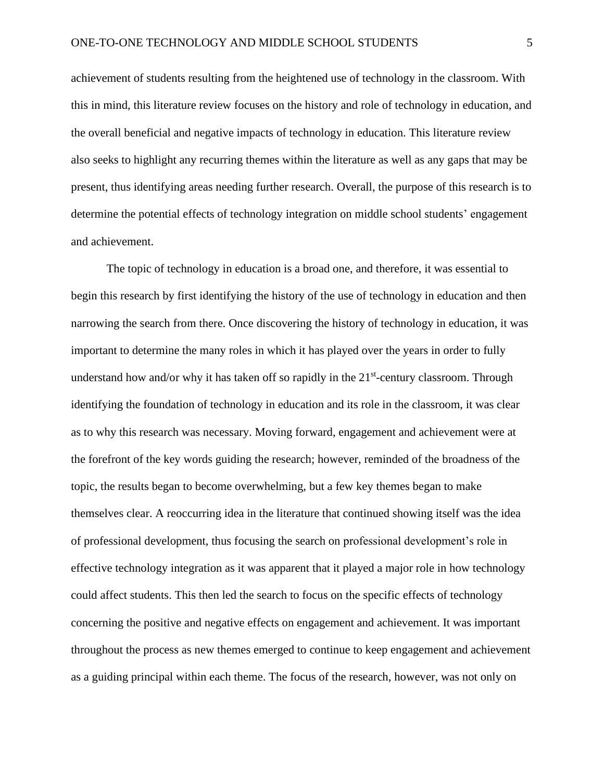achievement of students resulting from the heightened use of technology in the classroom. With this in mind, this literature review focuses on the history and role of technology in education, and the overall beneficial and negative impacts of technology in education. This literature review also seeks to highlight any recurring themes within the literature as well as any gaps that may be present, thus identifying areas needing further research. Overall, the purpose of this research is to determine the potential effects of technology integration on middle school students' engagement and achievement.

The topic of technology in education is a broad one, and therefore, it was essential to begin this research by first identifying the history of the use of technology in education and then narrowing the search from there. Once discovering the history of technology in education, it was important to determine the many roles in which it has played over the years in order to fully understand how and/or why it has taken off so rapidly in the  $21<sup>st</sup>$ -century classroom. Through identifying the foundation of technology in education and its role in the classroom, it was clear as to why this research was necessary. Moving forward, engagement and achievement were at the forefront of the key words guiding the research; however, reminded of the broadness of the topic, the results began to become overwhelming, but a few key themes began to make themselves clear. A reoccurring idea in the literature that continued showing itself was the idea of professional development, thus focusing the search on professional development's role in effective technology integration as it was apparent that it played a major role in how technology could affect students. This then led the search to focus on the specific effects of technology concerning the positive and negative effects on engagement and achievement. It was important throughout the process as new themes emerged to continue to keep engagement and achievement as a guiding principal within each theme. The focus of the research, however, was not only on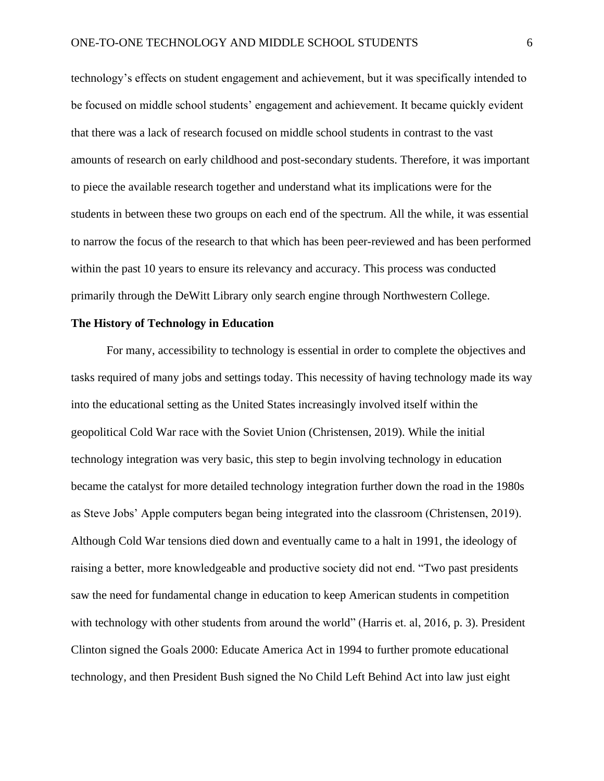technology's effects on student engagement and achievement, but it was specifically intended to be focused on middle school students' engagement and achievement. It became quickly evident that there was a lack of research focused on middle school students in contrast to the vast amounts of research on early childhood and post-secondary students. Therefore, it was important to piece the available research together and understand what its implications were for the students in between these two groups on each end of the spectrum. All the while, it was essential to narrow the focus of the research to that which has been peer-reviewed and has been performed within the past 10 years to ensure its relevancy and accuracy. This process was conducted primarily through the DeWitt Library only search engine through Northwestern College.

#### **The History of Technology in Education**

For many, accessibility to technology is essential in order to complete the objectives and tasks required of many jobs and settings today. This necessity of having technology made its way into the educational setting as the United States increasingly involved itself within the geopolitical Cold War race with the Soviet Union (Christensen, 2019). While the initial technology integration was very basic, this step to begin involving technology in education became the catalyst for more detailed technology integration further down the road in the 1980s as Steve Jobs' Apple computers began being integrated into the classroom (Christensen, 2019). Although Cold War tensions died down and eventually came to a halt in 1991, the ideology of raising a better, more knowledgeable and productive society did not end. "Two past presidents saw the need for fundamental change in education to keep American students in competition with technology with other students from around the world" (Harris et. al, 2016, p. 3). President Clinton signed the Goals 2000: Educate America Act in 1994 to further promote educational technology, and then President Bush signed the No Child Left Behind Act into law just eight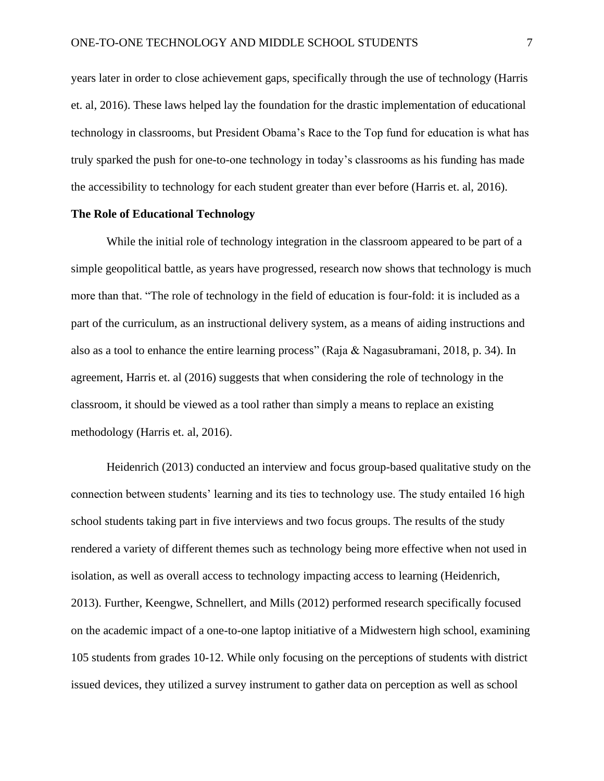years later in order to close achievement gaps, specifically through the use of technology (Harris et. al, 2016). These laws helped lay the foundation for the drastic implementation of educational technology in classrooms, but President Obama's Race to the Top fund for education is what has truly sparked the push for one-to-one technology in today's classrooms as his funding has made the accessibility to technology for each student greater than ever before (Harris et. al, 2016).

#### **The Role of Educational Technology**

While the initial role of technology integration in the classroom appeared to be part of a simple geopolitical battle, as years have progressed, research now shows that technology is much more than that. "The role of technology in the field of education is four-fold: it is included as a part of the curriculum, as an instructional delivery system, as a means of aiding instructions and also as a tool to enhance the entire learning process" (Raja & Nagasubramani, 2018, p. 34). In agreement, Harris et. al (2016) suggests that when considering the role of technology in the classroom, it should be viewed as a tool rather than simply a means to replace an existing methodology (Harris et. al, 2016).

Heidenrich (2013) conducted an interview and focus group-based qualitative study on the connection between students' learning and its ties to technology use. The study entailed 16 high school students taking part in five interviews and two focus groups. The results of the study rendered a variety of different themes such as technology being more effective when not used in isolation, as well as overall access to technology impacting access to learning (Heidenrich, 2013). Further, Keengwe, Schnellert, and Mills (2012) performed research specifically focused on the academic impact of a one-to-one laptop initiative of a Midwestern high school, examining 105 students from grades 10-12. While only focusing on the perceptions of students with district issued devices, they utilized a survey instrument to gather data on perception as well as school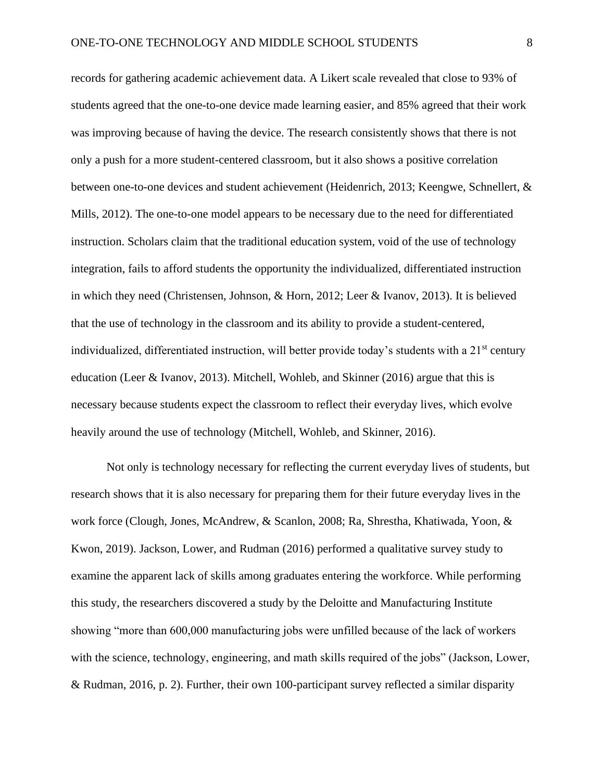records for gathering academic achievement data. A Likert scale revealed that close to 93% of students agreed that the one-to-one device made learning easier, and 85% agreed that their work was improving because of having the device. The research consistently shows that there is not only a push for a more student-centered classroom, but it also shows a positive correlation between one-to-one devices and student achievement (Heidenrich, 2013; Keengwe, Schnellert, & Mills, 2012). The one-to-one model appears to be necessary due to the need for differentiated instruction. Scholars claim that the traditional education system, void of the use of technology integration, fails to afford students the opportunity the individualized, differentiated instruction in which they need (Christensen, Johnson, & Horn, 2012; Leer & Ivanov, 2013). It is believed that the use of technology in the classroom and its ability to provide a student-centered, individualized, differentiated instruction, will better provide today's students with a  $21<sup>st</sup>$  century education (Leer & Ivanov, 2013). Mitchell, Wohleb, and Skinner (2016) argue that this is necessary because students expect the classroom to reflect their everyday lives, which evolve heavily around the use of technology (Mitchell, Wohleb, and Skinner, 2016).

Not only is technology necessary for reflecting the current everyday lives of students, but research shows that it is also necessary for preparing them for their future everyday lives in the work force (Clough, Jones, McAndrew, & Scanlon, 2008; Ra, Shrestha, Khatiwada, Yoon, & Kwon, 2019). Jackson, Lower, and Rudman (2016) performed a qualitative survey study to examine the apparent lack of skills among graduates entering the workforce. While performing this study, the researchers discovered a study by the Deloitte and Manufacturing Institute showing "more than 600,000 manufacturing jobs were unfilled because of the lack of workers with the science, technology, engineering, and math skills required of the jobs" (Jackson, Lower, & Rudman, 2016, p. 2). Further, their own 100-participant survey reflected a similar disparity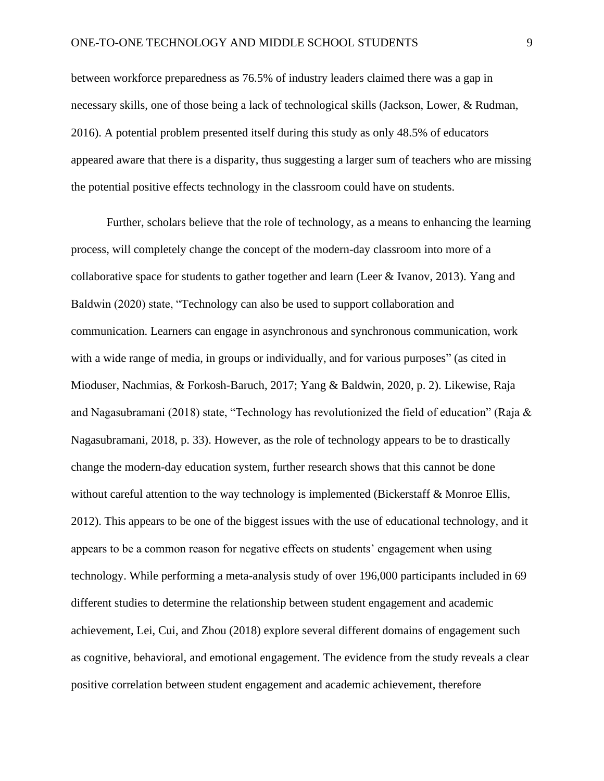between workforce preparedness as 76.5% of industry leaders claimed there was a gap in necessary skills, one of those being a lack of technological skills (Jackson, Lower, & Rudman, 2016). A potential problem presented itself during this study as only 48.5% of educators appeared aware that there is a disparity, thus suggesting a larger sum of teachers who are missing the potential positive effects technology in the classroom could have on students.

Further, scholars believe that the role of technology, as a means to enhancing the learning process, will completely change the concept of the modern-day classroom into more of a collaborative space for students to gather together and learn (Leer & Ivanov, 2013). Yang and Baldwin (2020) state, "Technology can also be used to support collaboration and communication. Learners can engage in asynchronous and synchronous communication, work with a wide range of media, in groups or individually, and for various purposes" (as cited in Mioduser, Nachmias, & Forkosh-Baruch, 2017; Yang & Baldwin, 2020, p. 2). Likewise, Raja and Nagasubramani (2018) state, "Technology has revolutionized the field of education" (Raja & Nagasubramani, 2018, p. 33). However, as the role of technology appears to be to drastically change the modern-day education system, further research shows that this cannot be done without careful attention to the way technology is implemented (Bickerstaff & Monroe Ellis, 2012). This appears to be one of the biggest issues with the use of educational technology, and it appears to be a common reason for negative effects on students' engagement when using technology. While performing a meta-analysis study of over 196,000 participants included in 69 different studies to determine the relationship between student engagement and academic achievement, Lei, Cui, and Zhou (2018) explore several different domains of engagement such as cognitive, behavioral, and emotional engagement. The evidence from the study reveals a clear positive correlation between student engagement and academic achievement, therefore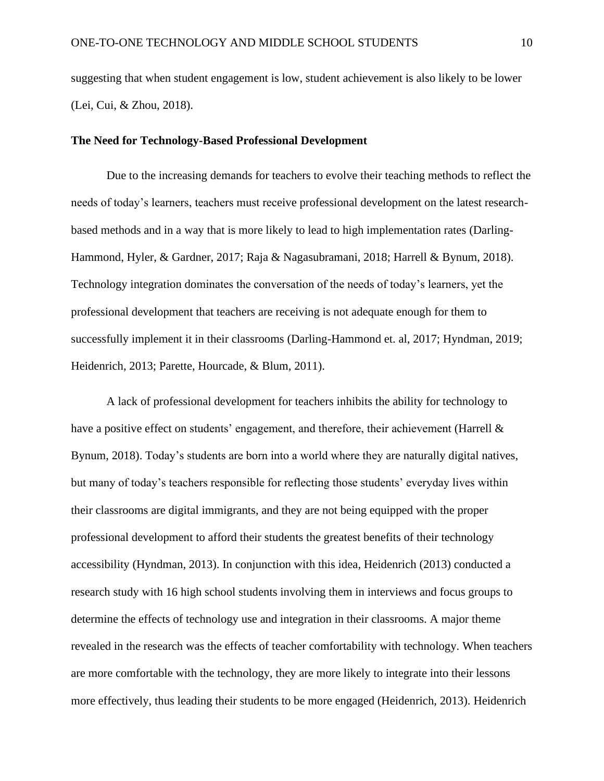suggesting that when student engagement is low, student achievement is also likely to be lower (Lei, Cui, & Zhou, 2018).

#### **The Need for Technology-Based Professional Development**

Due to the increasing demands for teachers to evolve their teaching methods to reflect the needs of today's learners, teachers must receive professional development on the latest researchbased methods and in a way that is more likely to lead to high implementation rates (Darling-Hammond, Hyler, & Gardner, 2017; Raja & Nagasubramani, 2018; Harrell & Bynum, 2018). Technology integration dominates the conversation of the needs of today's learners, yet the professional development that teachers are receiving is not adequate enough for them to successfully implement it in their classrooms (Darling-Hammond et. al, 2017; Hyndman, 2019; Heidenrich, 2013; Parette, Hourcade, & Blum, 2011).

A lack of professional development for teachers inhibits the ability for technology to have a positive effect on students' engagement, and therefore, their achievement (Harrell & Bynum, 2018). Today's students are born into a world where they are naturally digital natives, but many of today's teachers responsible for reflecting those students' everyday lives within their classrooms are digital immigrants, and they are not being equipped with the proper professional development to afford their students the greatest benefits of their technology accessibility (Hyndman, 2013). In conjunction with this idea, Heidenrich (2013) conducted a research study with 16 high school students involving them in interviews and focus groups to determine the effects of technology use and integration in their classrooms. A major theme revealed in the research was the effects of teacher comfortability with technology. When teachers are more comfortable with the technology, they are more likely to integrate into their lessons more effectively, thus leading their students to be more engaged (Heidenrich, 2013). Heidenrich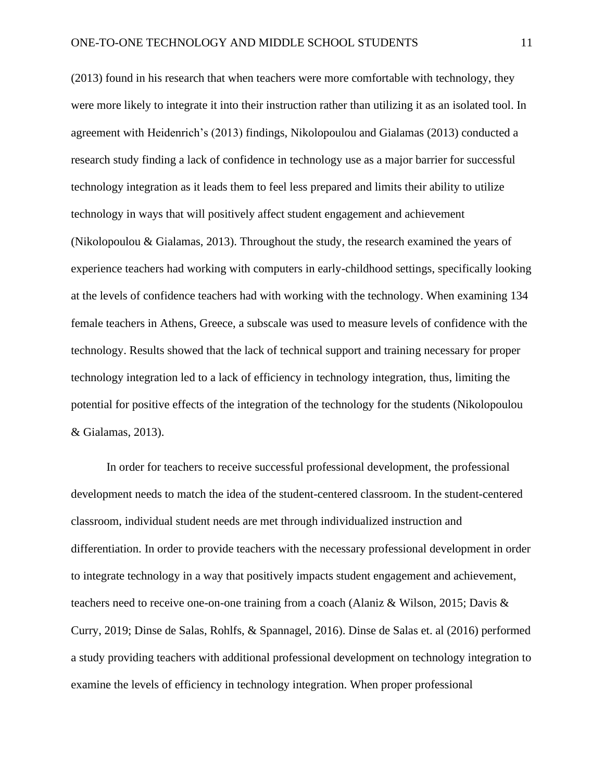(2013) found in his research that when teachers were more comfortable with technology, they were more likely to integrate it into their instruction rather than utilizing it as an isolated tool. In agreement with Heidenrich's (2013) findings, Nikolopoulou and Gialamas (2013) conducted a research study finding a lack of confidence in technology use as a major barrier for successful technology integration as it leads them to feel less prepared and limits their ability to utilize technology in ways that will positively affect student engagement and achievement (Nikolopoulou & Gialamas, 2013). Throughout the study, the research examined the years of experience teachers had working with computers in early-childhood settings, specifically looking at the levels of confidence teachers had with working with the technology. When examining 134 female teachers in Athens, Greece, a subscale was used to measure levels of confidence with the technology. Results showed that the lack of technical support and training necessary for proper technology integration led to a lack of efficiency in technology integration, thus, limiting the potential for positive effects of the integration of the technology for the students (Nikolopoulou & Gialamas, 2013).

In order for teachers to receive successful professional development, the professional development needs to match the idea of the student-centered classroom. In the student-centered classroom, individual student needs are met through individualized instruction and differentiation. In order to provide teachers with the necessary professional development in order to integrate technology in a way that positively impacts student engagement and achievement, teachers need to receive one-on-one training from a coach (Alaniz & Wilson, 2015; Davis & Curry, 2019; Dinse de Salas, Rohlfs, & Spannagel, 2016). Dinse de Salas et. al (2016) performed a study providing teachers with additional professional development on technology integration to examine the levels of efficiency in technology integration. When proper professional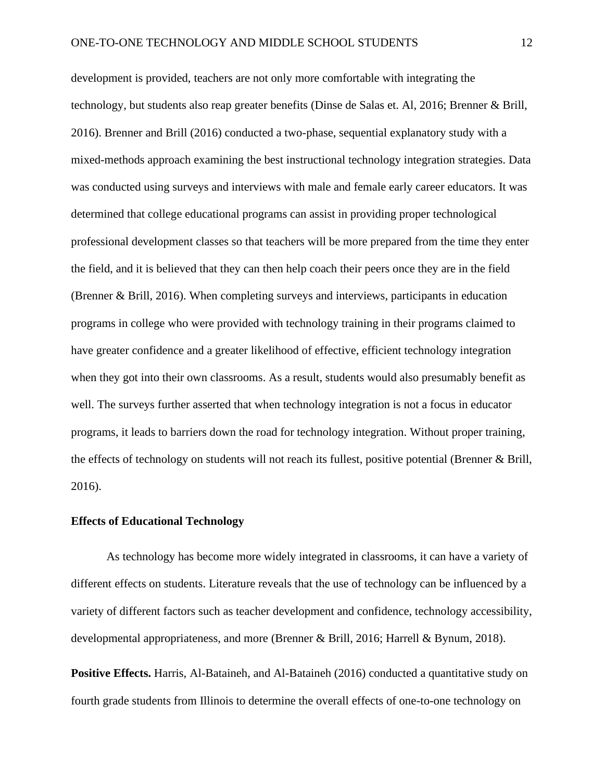development is provided, teachers are not only more comfortable with integrating the technology, but students also reap greater benefits (Dinse de Salas et. Al, 2016; Brenner & Brill, 2016). Brenner and Brill (2016) conducted a two-phase, sequential explanatory study with a mixed-methods approach examining the best instructional technology integration strategies. Data was conducted using surveys and interviews with male and female early career educators. It was determined that college educational programs can assist in providing proper technological professional development classes so that teachers will be more prepared from the time they enter the field, and it is believed that they can then help coach their peers once they are in the field (Brenner & Brill, 2016). When completing surveys and interviews, participants in education programs in college who were provided with technology training in their programs claimed to have greater confidence and a greater likelihood of effective, efficient technology integration when they got into their own classrooms. As a result, students would also presumably benefit as well. The surveys further asserted that when technology integration is not a focus in educator programs, it leads to barriers down the road for technology integration. Without proper training, the effects of technology on students will not reach its fullest, positive potential (Brenner & Brill, 2016).

#### **Effects of Educational Technology**

As technology has become more widely integrated in classrooms, it can have a variety of different effects on students. Literature reveals that the use of technology can be influenced by a variety of different factors such as teacher development and confidence, technology accessibility, developmental appropriateness, and more (Brenner & Brill, 2016; Harrell & Bynum, 2018).

**Positive Effects.** Harris, Al-Bataineh, and Al-Bataineh (2016) conducted a quantitative study on fourth grade students from Illinois to determine the overall effects of one-to-one technology on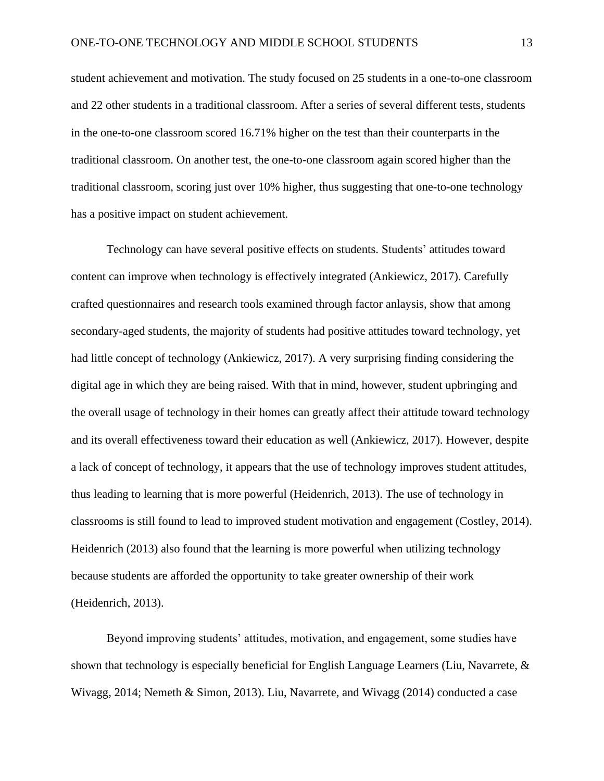student achievement and motivation. The study focused on 25 students in a one-to-one classroom and 22 other students in a traditional classroom. After a series of several different tests, students in the one-to-one classroom scored 16.71% higher on the test than their counterparts in the traditional classroom. On another test, the one-to-one classroom again scored higher than the traditional classroom, scoring just over 10% higher, thus suggesting that one-to-one technology has a positive impact on student achievement.

Technology can have several positive effects on students. Students' attitudes toward content can improve when technology is effectively integrated (Ankiewicz, 2017). Carefully crafted questionnaires and research tools examined through factor anlaysis, show that among secondary-aged students, the majority of students had positive attitudes toward technology, yet had little concept of technology (Ankiewicz, 2017). A very surprising finding considering the digital age in which they are being raised. With that in mind, however, student upbringing and the overall usage of technology in their homes can greatly affect their attitude toward technology and its overall effectiveness toward their education as well (Ankiewicz, 2017). However, despite a lack of concept of technology, it appears that the use of technology improves student attitudes, thus leading to learning that is more powerful (Heidenrich, 2013). The use of technology in classrooms is still found to lead to improved student motivation and engagement (Costley, 2014). Heidenrich (2013) also found that the learning is more powerful when utilizing technology because students are afforded the opportunity to take greater ownership of their work (Heidenrich, 2013).

Beyond improving students' attitudes, motivation, and engagement, some studies have shown that technology is especially beneficial for English Language Learners (Liu, Navarrete,  $\&$ Wivagg, 2014; Nemeth & Simon, 2013). Liu, Navarrete, and Wivagg (2014) conducted a case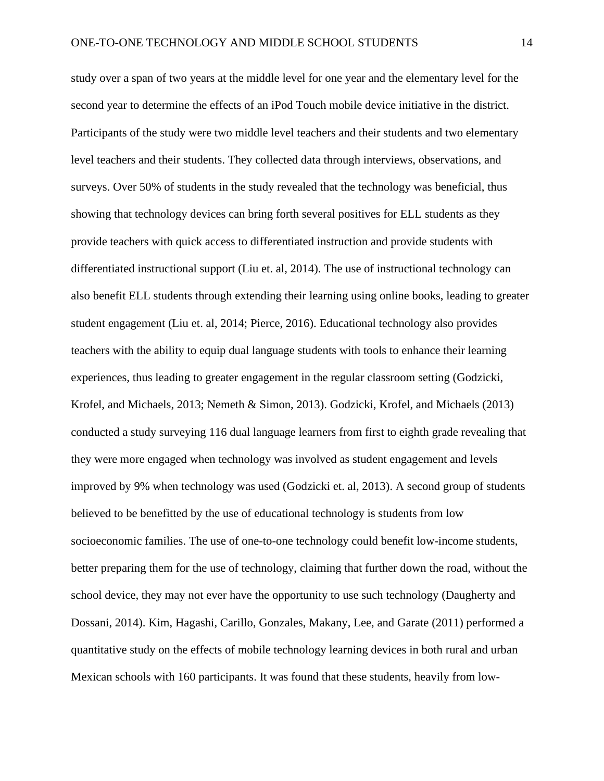study over a span of two years at the middle level for one year and the elementary level for the second year to determine the effects of an iPod Touch mobile device initiative in the district. Participants of the study were two middle level teachers and their students and two elementary level teachers and their students. They collected data through interviews, observations, and surveys. Over 50% of students in the study revealed that the technology was beneficial, thus showing that technology devices can bring forth several positives for ELL students as they provide teachers with quick access to differentiated instruction and provide students with differentiated instructional support (Liu et. al, 2014). The use of instructional technology can also benefit ELL students through extending their learning using online books, leading to greater student engagement (Liu et. al, 2014; Pierce, 2016). Educational technology also provides teachers with the ability to equip dual language students with tools to enhance their learning experiences, thus leading to greater engagement in the regular classroom setting (Godzicki, Krofel, and Michaels, 2013; Nemeth & Simon, 2013). Godzicki, Krofel, and Michaels (2013) conducted a study surveying 116 dual language learners from first to eighth grade revealing that they were more engaged when technology was involved as student engagement and levels improved by 9% when technology was used (Godzicki et. al, 2013). A second group of students believed to be benefitted by the use of educational technology is students from low socioeconomic families. The use of one-to-one technology could benefit low-income students, better preparing them for the use of technology, claiming that further down the road, without the school device, they may not ever have the opportunity to use such technology (Daugherty and Dossani, 2014). Kim, Hagashi, Carillo, Gonzales, Makany, Lee, and Garate (2011) performed a quantitative study on the effects of mobile technology learning devices in both rural and urban Mexican schools with 160 participants. It was found that these students, heavily from low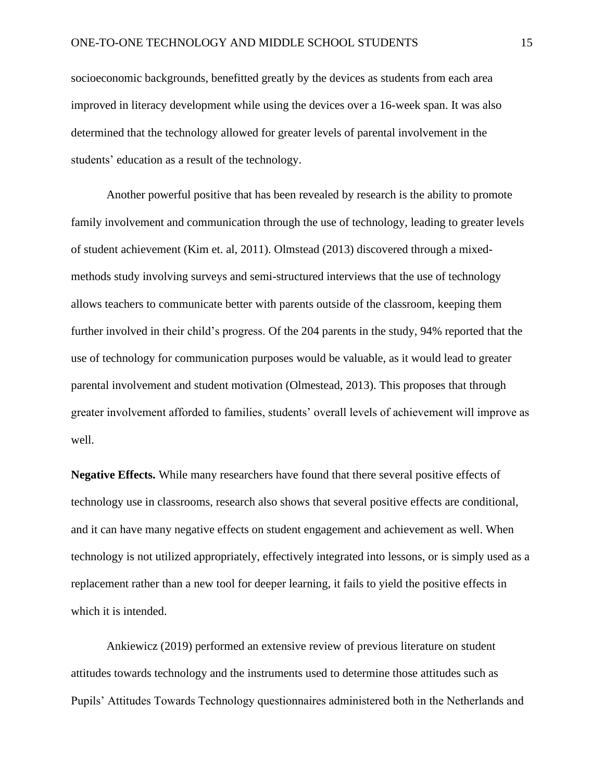socioeconomic backgrounds, benefitted greatly by the devices as students from each area improved in literacy development while using the devices over a 16-week span. It was also determined that the technology allowed for greater levels of parental involvement in the students' education as a result of the technology.

Another powerful positive that has been revealed by research is the ability to promote family involvement and communication through the use of technology, leading to greater levels of student achievement (Kim et. al, 2011). Olmstead (2013) discovered through a mixedmethods study involving surveys and semi-structured interviews that the use of technology allows teachers to communicate better with parents outside of the classroom, keeping them further involved in their child's progress. Of the 204 parents in the study, 94% reported that the use of technology for communication purposes would be valuable, as it would lead to greater parental involvement and student motivation (Olmestead, 2013). This proposes that through greater involvement afforded to families, students' overall levels of achievement will improve as well.

**Negative Effects.** While many researchers have found that there several positive effects of technology use in classrooms, research also shows that several positive effects are conditional, and it can have many negative effects on student engagement and achievement as well. When technology is not utilized appropriately, effectively integrated into lessons, or is simply used as a replacement rather than a new tool for deeper learning, it fails to yield the positive effects in which it is intended.

Ankiewicz (2019) performed an extensive review of previous literature on student attitudes towards technology and the instruments used to determine those attitudes such as Pupils' Attitudes Towards Technology questionnaires administered both in the Netherlands and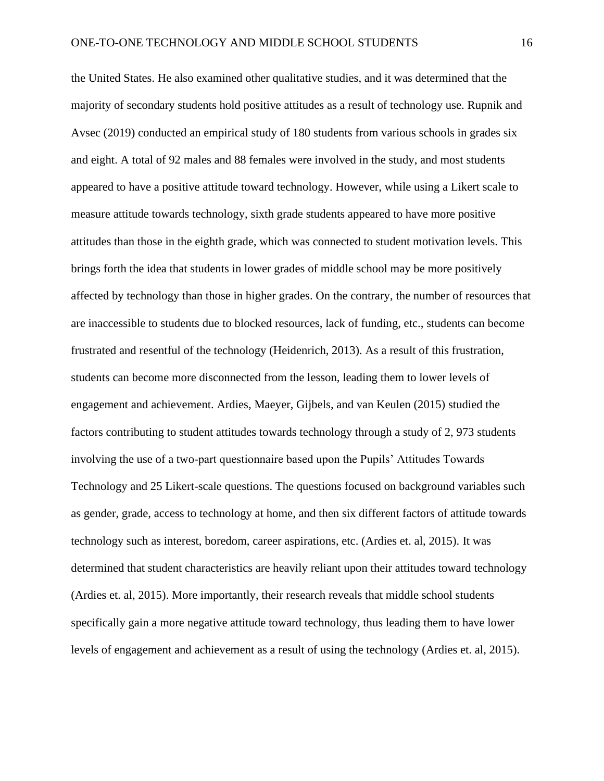the United States. He also examined other qualitative studies, and it was determined that the majority of secondary students hold positive attitudes as a result of technology use. Rupnik and Avsec (2019) conducted an empirical study of 180 students from various schools in grades six and eight. A total of 92 males and 88 females were involved in the study, and most students appeared to have a positive attitude toward technology. However, while using a Likert scale to measure attitude towards technology, sixth grade students appeared to have more positive attitudes than those in the eighth grade, which was connected to student motivation levels. This brings forth the idea that students in lower grades of middle school may be more positively affected by technology than those in higher grades. On the contrary, the number of resources that are inaccessible to students due to blocked resources, lack of funding, etc., students can become frustrated and resentful of the technology (Heidenrich, 2013). As a result of this frustration, students can become more disconnected from the lesson, leading them to lower levels of engagement and achievement. Ardies, Maeyer, Gijbels, and van Keulen (2015) studied the factors contributing to student attitudes towards technology through a study of 2, 973 students involving the use of a two-part questionnaire based upon the Pupils' Attitudes Towards Technology and 25 Likert-scale questions. The questions focused on background variables such as gender, grade, access to technology at home, and then six different factors of attitude towards technology such as interest, boredom, career aspirations, etc. (Ardies et. al, 2015). It was determined that student characteristics are heavily reliant upon their attitudes toward technology (Ardies et. al, 2015). More importantly, their research reveals that middle school students specifically gain a more negative attitude toward technology, thus leading them to have lower levels of engagement and achievement as a result of using the technology (Ardies et. al, 2015).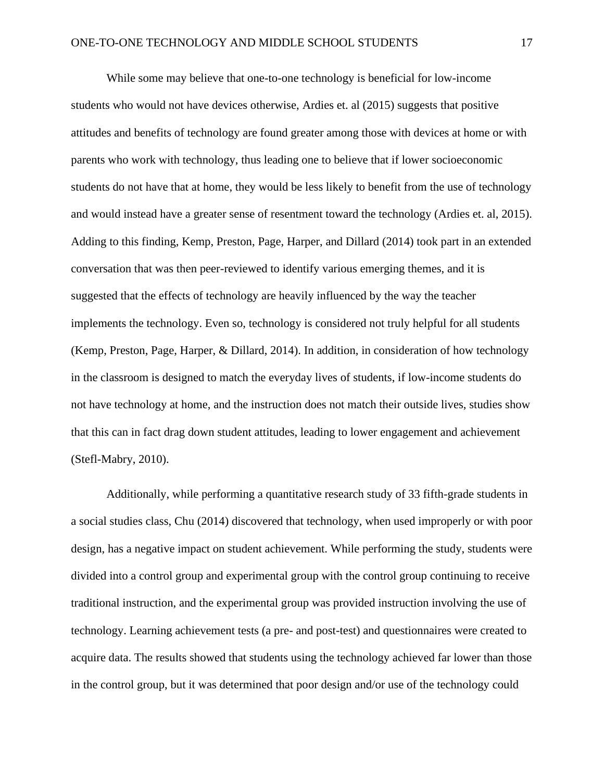While some may believe that one-to-one technology is beneficial for low-income students who would not have devices otherwise, Ardies et. al (2015) suggests that positive attitudes and benefits of technology are found greater among those with devices at home or with parents who work with technology, thus leading one to believe that if lower socioeconomic students do not have that at home, they would be less likely to benefit from the use of technology and would instead have a greater sense of resentment toward the technology (Ardies et. al, 2015). Adding to this finding, Kemp, Preston, Page, Harper, and Dillard (2014) took part in an extended conversation that was then peer-reviewed to identify various emerging themes, and it is suggested that the effects of technology are heavily influenced by the way the teacher implements the technology. Even so, technology is considered not truly helpful for all students (Kemp, Preston, Page, Harper, & Dillard, 2014). In addition, in consideration of how technology in the classroom is designed to match the everyday lives of students, if low-income students do not have technology at home, and the instruction does not match their outside lives, studies show that this can in fact drag down student attitudes, leading to lower engagement and achievement (Stefl-Mabry, 2010).

Additionally, while performing a quantitative research study of 33 fifth-grade students in a social studies class, Chu (2014) discovered that technology, when used improperly or with poor design, has a negative impact on student achievement. While performing the study, students were divided into a control group and experimental group with the control group continuing to receive traditional instruction, and the experimental group was provided instruction involving the use of technology. Learning achievement tests (a pre- and post-test) and questionnaires were created to acquire data. The results showed that students using the technology achieved far lower than those in the control group, but it was determined that poor design and/or use of the technology could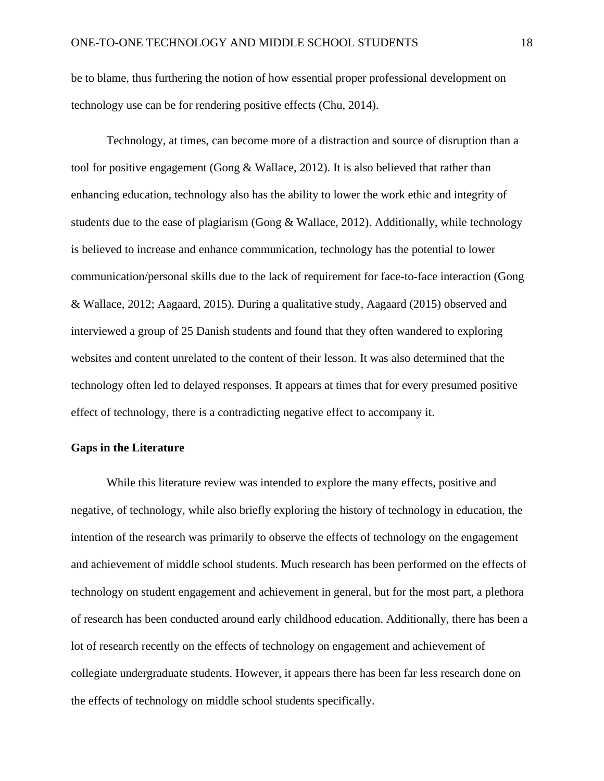be to blame, thus furthering the notion of how essential proper professional development on technology use can be for rendering positive effects (Chu, 2014).

Technology, at times, can become more of a distraction and source of disruption than a tool for positive engagement (Gong & Wallace, 2012). It is also believed that rather than enhancing education, technology also has the ability to lower the work ethic and integrity of students due to the ease of plagiarism (Gong & Wallace, 2012). Additionally, while technology is believed to increase and enhance communication, technology has the potential to lower communication/personal skills due to the lack of requirement for face-to-face interaction (Gong & Wallace, 2012; Aagaard, 2015). During a qualitative study, Aagaard (2015) observed and interviewed a group of 25 Danish students and found that they often wandered to exploring websites and content unrelated to the content of their lesson. It was also determined that the technology often led to delayed responses. It appears at times that for every presumed positive effect of technology, there is a contradicting negative effect to accompany it.

#### **Gaps in the Literature**

While this literature review was intended to explore the many effects, positive and negative, of technology, while also briefly exploring the history of technology in education, the intention of the research was primarily to observe the effects of technology on the engagement and achievement of middle school students. Much research has been performed on the effects of technology on student engagement and achievement in general, but for the most part, a plethora of research has been conducted around early childhood education. Additionally, there has been a lot of research recently on the effects of technology on engagement and achievement of collegiate undergraduate students. However, it appears there has been far less research done on the effects of technology on middle school students specifically.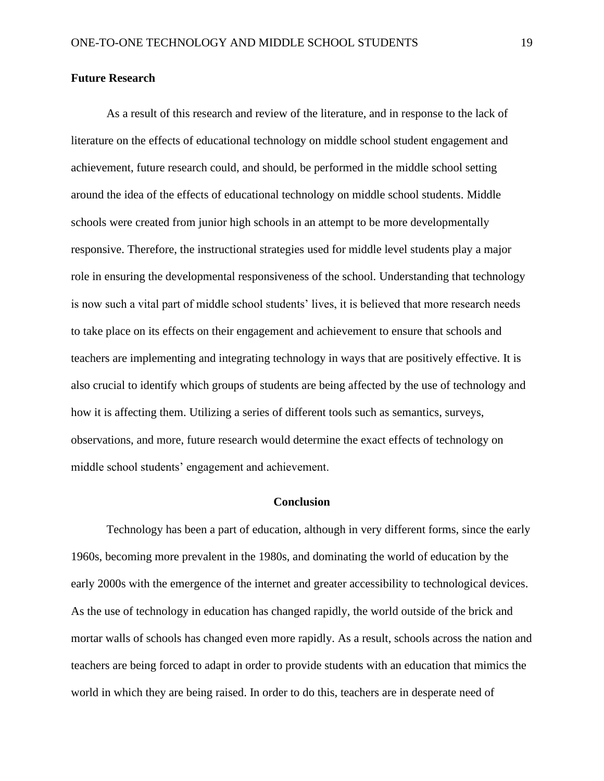#### **Future Research**

As a result of this research and review of the literature, and in response to the lack of literature on the effects of educational technology on middle school student engagement and achievement, future research could, and should, be performed in the middle school setting around the idea of the effects of educational technology on middle school students. Middle schools were created from junior high schools in an attempt to be more developmentally responsive. Therefore, the instructional strategies used for middle level students play a major role in ensuring the developmental responsiveness of the school. Understanding that technology is now such a vital part of middle school students' lives, it is believed that more research needs to take place on its effects on their engagement and achievement to ensure that schools and teachers are implementing and integrating technology in ways that are positively effective. It is also crucial to identify which groups of students are being affected by the use of technology and how it is affecting them. Utilizing a series of different tools such as semantics, surveys, observations, and more, future research would determine the exact effects of technology on middle school students' engagement and achievement.

#### **Conclusion**

Technology has been a part of education, although in very different forms, since the early 1960s, becoming more prevalent in the 1980s, and dominating the world of education by the early 2000s with the emergence of the internet and greater accessibility to technological devices. As the use of technology in education has changed rapidly, the world outside of the brick and mortar walls of schools has changed even more rapidly. As a result, schools across the nation and teachers are being forced to adapt in order to provide students with an education that mimics the world in which they are being raised. In order to do this, teachers are in desperate need of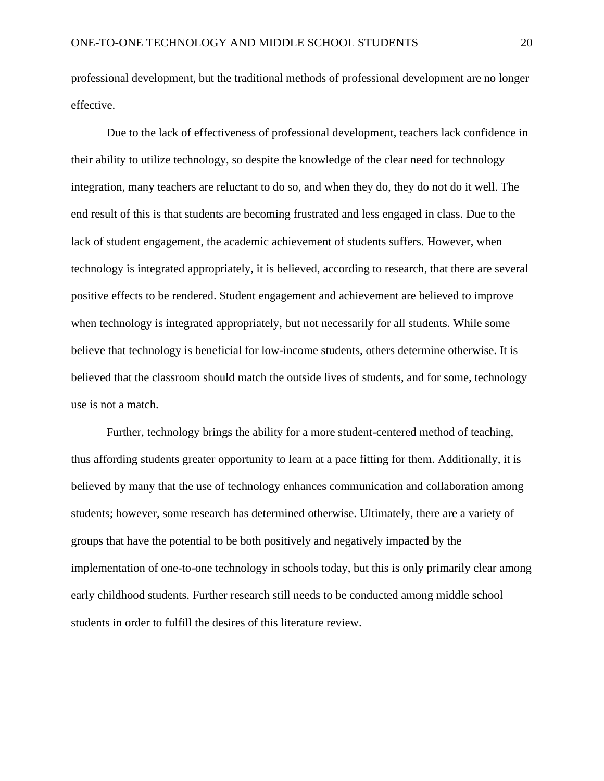professional development, but the traditional methods of professional development are no longer effective.

Due to the lack of effectiveness of professional development, teachers lack confidence in their ability to utilize technology, so despite the knowledge of the clear need for technology integration, many teachers are reluctant to do so, and when they do, they do not do it well. The end result of this is that students are becoming frustrated and less engaged in class. Due to the lack of student engagement, the academic achievement of students suffers. However, when technology is integrated appropriately, it is believed, according to research, that there are several positive effects to be rendered. Student engagement and achievement are believed to improve when technology is integrated appropriately, but not necessarily for all students. While some believe that technology is beneficial for low-income students, others determine otherwise. It is believed that the classroom should match the outside lives of students, and for some, technology use is not a match.

Further, technology brings the ability for a more student-centered method of teaching, thus affording students greater opportunity to learn at a pace fitting for them. Additionally, it is believed by many that the use of technology enhances communication and collaboration among students; however, some research has determined otherwise. Ultimately, there are a variety of groups that have the potential to be both positively and negatively impacted by the implementation of one-to-one technology in schools today, but this is only primarily clear among early childhood students. Further research still needs to be conducted among middle school students in order to fulfill the desires of this literature review.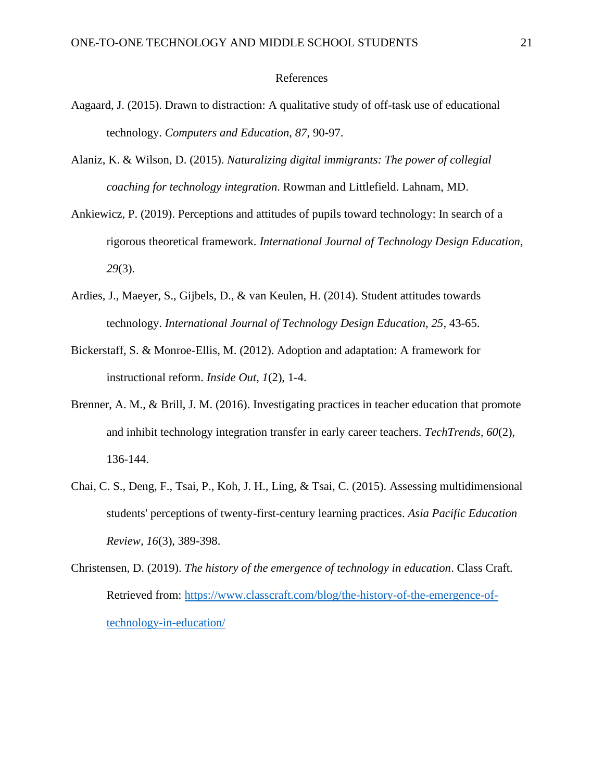#### References

- Aagaard, J. (2015). Drawn to distraction: A qualitative study of off-task use of educational technology. *Computers and Education, 87*, 90-97.
- Alaniz, K. & Wilson, D. (2015). *Naturalizing digital immigrants: The power of collegial coaching for technology integration*. Rowman and Littlefield. Lahnam, MD.
- Ankiewicz, P. (2019). Perceptions and attitudes of pupils toward technology: In search of a rigorous theoretical framework. *International Journal of Technology Design Education, 29*(3).
- Ardies, J., Maeyer, S., Gijbels, D., & van Keulen, H. (2014). Student attitudes towards technology. *International Journal of Technology Design Education, 25*, 43-65.
- Bickerstaff, S. & Monroe-Ellis, M. (2012). Adoption and adaptation: A framework for instructional reform. *Inside Out, 1*(2), 1-4.
- Brenner, A. M., & Brill, J. M. (2016). Investigating practices in teacher education that promote and inhibit technology integration transfer in early career teachers. *TechTrends, 60*(2), 136-144.
- Chai, C. S., Deng, F., Tsai, P., Koh, J. H., Ling, & Tsai, C. (2015). Assessing multidimensional students' perceptions of twenty-first-century learning practices. *Asia Pacific Education Review, 16*(3), 389-398.
- Christensen, D. (2019). *The history of the emergence of technology in education*. Class Craft. Retrieved from: [https://www.classcraft.com/blog/the-history-of-the-emergence-of](https://www.classcraft.com/blog/the-history-of-the-emergence-of-technology-in-education/)[technology-in-education/](https://www.classcraft.com/blog/the-history-of-the-emergence-of-technology-in-education/)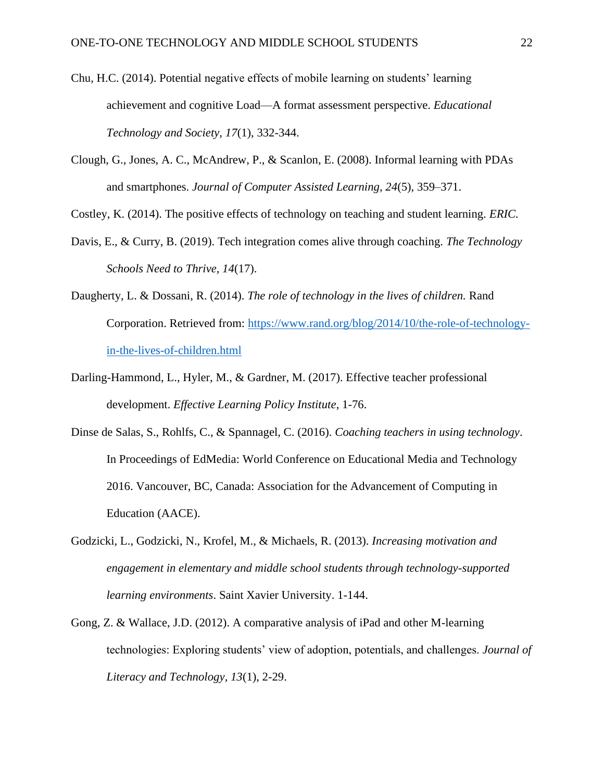- Chu, H.C. (2014). Potential negative effects of mobile learning on students' learning achievement and cognitive Load—A format assessment perspective. *Educational Technology and Society, 17*(1), 332-344.
- Clough, G., Jones, A. C., McAndrew, P., & Scanlon, E. (2008). Informal learning with PDAs and smartphones. *Journal of Computer Assisted Learning, 24*(5), 359–371.

Costley, K. (2014). The positive effects of technology on teaching and student learning. *ERIC.*

- Davis, E., & Curry, B. (2019). Tech integration comes alive through coaching. *The Technology Schools Need to Thrive, 14*(17).
- Daugherty, L. & Dossani, R. (2014). *The role of technology in the lives of children.* Rand Corporation. Retrieved from: [https://www.rand.org/blog/2014/10/the-role-of-technology](https://www.rand.org/blog/2014/10/the-role-of-technology-in-the-lives-of-children.html)[in-the-lives-of-children.html](https://www.rand.org/blog/2014/10/the-role-of-technology-in-the-lives-of-children.html)
- Darling-Hammond, L., Hyler, M., & Gardner, M. (2017). Effective teacher professional development. *Effective Learning Policy Institute*, 1-76.
- Dinse de Salas, S., Rohlfs, C., & Spannagel, C. (2016). *Coaching teachers in using technology*. In Proceedings of EdMedia: World Conference on Educational Media and Technology 2016. Vancouver, BC, Canada: Association for the Advancement of Computing in Education (AACE).
- Godzicki, L., Godzicki, N., Krofel, M., & Michaels, R. (2013). *Increasing motivation and engagement in elementary and middle school students through technology-supported learning environments*. Saint Xavier University. 1-144.
- Gong, Z. & Wallace, J.D. (2012). A comparative analysis of iPad and other M-learning technologies: Exploring students' view of adoption, potentials, and challenges. *Journal of Literacy and Technology, 13*(1), 2-29.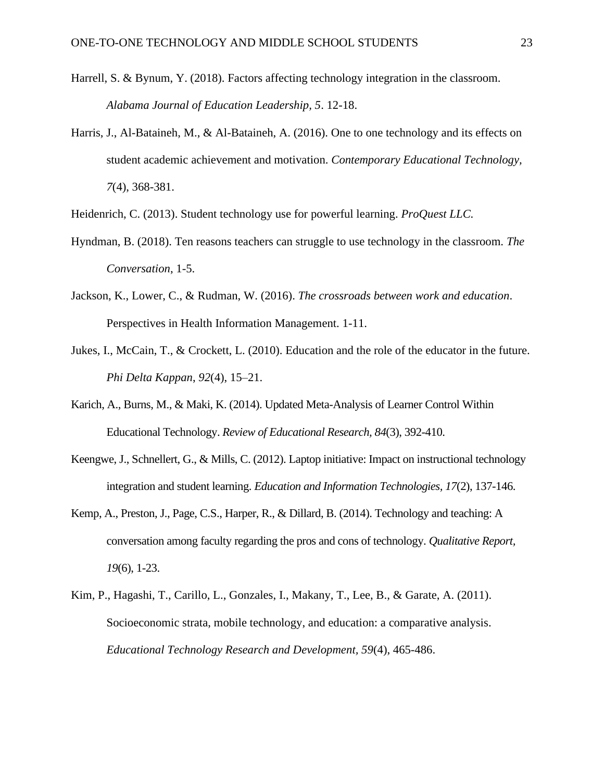- Harrell, S. & Bynum, Y. (2018). Factors affecting technology integration in the classroom. *Alabama Journal of Education Leadership, 5*. 12-18.
- Harris, J., Al-Bataineh, M., & Al-Bataineh, A. (2016). One to one technology and its effects on student academic achievement and motivation. *Contemporary Educational Technology, 7*(4), 368-381.
- Heidenrich, C. (2013). Student technology use for powerful learning. *ProQuest LLC.*
- Hyndman, B. (2018). Ten reasons teachers can struggle to use technology in the classroom. *The Conversation*, 1-5.
- Jackson, K., Lower, C., & Rudman, W. (2016). *The crossroads between work and education*. Perspectives in Health Information Management. 1-11.
- Jukes, I., McCain, T., & Crockett, L. (2010). Education and the role of the educator in the future. *Phi Delta Kappan*, *92*(4), 15–21.
- Karich, A., Burns, M., & Maki, K. (2014). Updated Meta-Analysis of Learner Control Within Educational Technology. *Review of Educational Research, 84*(3), 392-410.
- Keengwe, J., Schnellert, G., & Mills, C. (2012). Laptop initiative: Impact on instructional technology integration and student learning. *Education and Information Technologies, 17*(2), 137-146.
- Kemp, A., Preston, J., Page, C.S., Harper, R., & Dillard, B. (2014). Technology and teaching: A conversation among faculty regarding the pros and cons of technology. *Qualitative Report, 19*(6), 1-23.
- Kim, P., Hagashi, T., Carillo, L., Gonzales, I., Makany, T., Lee, B., & Garate, A. (2011). Socioeconomic strata, mobile technology, and education: a comparative analysis. *Educational Technology Research and Development, 59*(4), 465-486.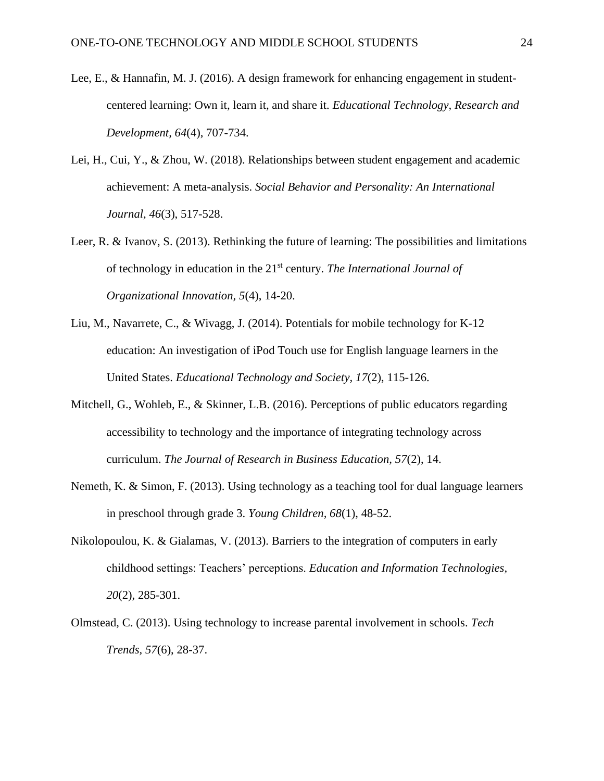- Lee, E., & Hannafin, M. J. (2016). A design framework for enhancing engagement in studentcentered learning: Own it, learn it, and share it. *Educational Technology, Research and Development, 64*(4), 707-734.
- Lei, H., Cui, Y., & Zhou, W. (2018). Relationships between student engagement and academic achievement: A meta-analysis. *Social Behavior and Personality: An International Journal, 46*(3), 517-528.
- Leer, R. & Ivanov, S. (2013). Rethinking the future of learning: The possibilities and limitations of technology in education in the 21st century. *The International Journal of Organizational Innovation, 5*(4), 14-20.
- Liu, M., Navarrete, C., & Wivagg, J. (2014). Potentials for mobile technology for K-12 education: An investigation of iPod Touch use for English language learners in the United States. *Educational Technology and Society, 17*(2), 115-126.
- Mitchell, G., Wohleb, E., & Skinner, L.B. (2016). Perceptions of public educators regarding accessibility to technology and the importance of integrating technology across curriculum. *The Journal of Research in Business Education, 57*(2), 14.
- Nemeth, K. & Simon, F. (2013). Using technology as a teaching tool for dual language learners in preschool through grade 3. *Young Children, 68*(1), 48-52.
- Nikolopoulou, K. & Gialamas, V. (2013). Barriers to the integration of computers in early childhood settings: Teachers' perceptions. *Education and Information Technologies, 20*(2), 285-301.
- Olmstead, C. (2013). Using technology to increase parental involvement in schools. *Tech Trends, 57*(6), 28-37.